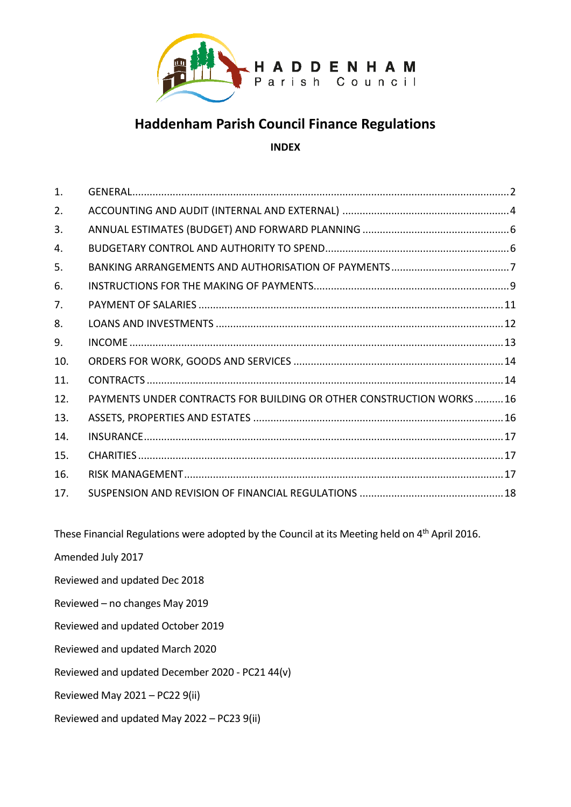

# **Haddenham Parish Council Finance Regulations**

# **INDEX**

| $\mathbf{1}$ . |                                                                     |  |
|----------------|---------------------------------------------------------------------|--|
| 2.             |                                                                     |  |
| 3.             |                                                                     |  |
| 4.             |                                                                     |  |
| 5.             |                                                                     |  |
| 6.             |                                                                     |  |
| 7.             |                                                                     |  |
| 8.             |                                                                     |  |
| 9.             |                                                                     |  |
| 10.            |                                                                     |  |
| 11.            |                                                                     |  |
| 12.            | PAYMENTS UNDER CONTRACTS FOR BUILDING OR OTHER CONSTRUCTION WORKS16 |  |
| 13.            |                                                                     |  |
| 14.            |                                                                     |  |
| 15.            |                                                                     |  |
| 16.            |                                                                     |  |
| 17.            |                                                                     |  |
|                |                                                                     |  |

These Financial Regulations were adopted by the Council at its Meeting held on 4<sup>th</sup> April 2016.

Amended July 2017

Reviewed and updated Dec 2018

Reviewed – no changes May 2019

Reviewed and updated October 2019

Reviewed and updated March 2020

Reviewed and updated December 2020 - PC21 44(v)

Reviewed May 2021 – PC22 9(ii)

Reviewed and updated May 2022 – PC23 9(ii)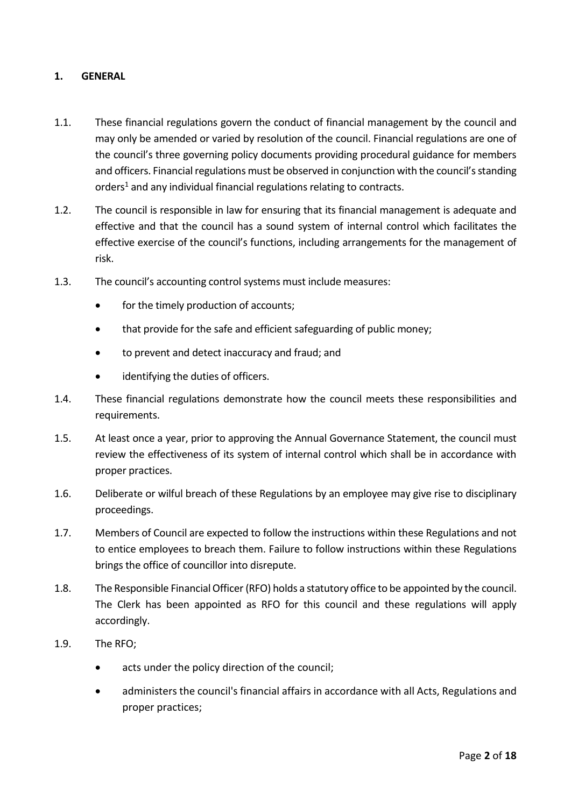## <span id="page-1-0"></span>**1. GENERAL**

- 1.1. These financial regulations govern the conduct of financial management by the council and may only be amended or varied by resolution of the council. Financial regulations are one of the council's three governing policy documents providing procedural guidance for members and officers. Financial regulations must be observed in conjunction with the council's standing orders<sup>1</sup> and any individual financial regulations relating to contracts.
- 1.2. The council is responsible in law for ensuring that its financial management is adequate and effective and that the council has a sound system of internal control which facilitates the effective exercise of the council's functions, including arrangements for the management of risk.
- 1.3. The council's accounting control systems must include measures:
	- for the timely production of accounts;
	- that provide for the safe and efficient safeguarding of public money;
	- to prevent and detect inaccuracy and fraud; and
	- identifying the duties of officers.
- 1.4. These financial regulations demonstrate how the council meets these responsibilities and requirements.
- 1.5. At least once a year, prior to approving the Annual Governance Statement, the council must review the effectiveness of its system of internal control which shall be in accordance with proper practices.
- 1.6. Deliberate or wilful breach of these Regulations by an employee may give rise to disciplinary proceedings.
- 1.7. Members of Council are expected to follow the instructions within these Regulations and not to entice employees to breach them. Failure to follow instructions within these Regulations brings the office of councillor into disrepute.
- 1.8. The Responsible Financial Officer (RFO) holds a statutory office to be appointed by the council. The Clerk has been appointed as RFO for this council and these regulations will apply accordingly.
- 1.9. The RFO;
	- acts under the policy direction of the council;
	- administers the council's financial affairs in accordance with all Acts, Regulations and proper practices;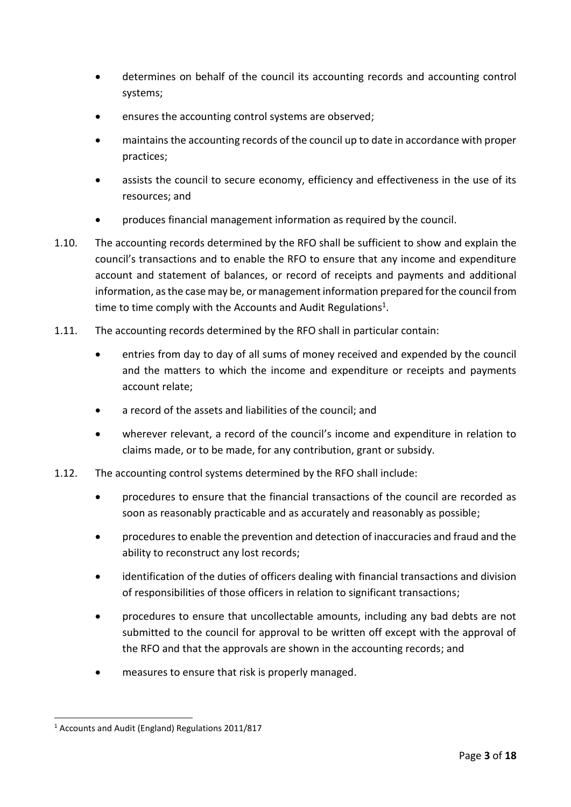- determines on behalf of the council its accounting records and accounting control systems;
- ensures the accounting control systems are observed;
- maintains the accounting records of the council up to date in accordance with proper practices;
- assists the council to secure economy, efficiency and effectiveness in the use of its resources; and
- produces financial management information as required by the council.
- 1.10. The accounting records determined by the RFO shall be sufficient to show and explain the council's transactions and to enable the RFO to ensure that any income and expenditure account and statement of balances, or record of receipts and payments and additional information, as the case may be, or management information prepared forthe council from time to time comply with the Accounts and Audit Regulations<sup>1</sup>.
- 1.11. The accounting records determined by the RFO shall in particular contain:
	- entries from day to day of all sums of money received and expended by the council and the matters to which the income and expenditure or receipts and payments account relate;
	- a record of the assets and liabilities of the council; and
	- wherever relevant, a record of the council's income and expenditure in relation to claims made, or to be made, for any contribution, grant or subsidy.
- 1.12. The accounting control systems determined by the RFO shall include:
	- procedures to ensure that the financial transactions of the council are recorded as soon as reasonably practicable and as accurately and reasonably as possible;
	- procedures to enable the prevention and detection of inaccuracies and fraud and the ability to reconstruct any lost records;
	- identification of the duties of officers dealing with financial transactions and division of responsibilities of those officers in relation to significant transactions;
	- procedures to ensure that uncollectable amounts, including any bad debts are not submitted to the council for approval to be written off except with the approval of the RFO and that the approvals are shown in the accounting records; and
	- measures to ensure that risk is properly managed.

<sup>1</sup> <sup>1</sup> Accounts and Audit (England) Regulations 2011/817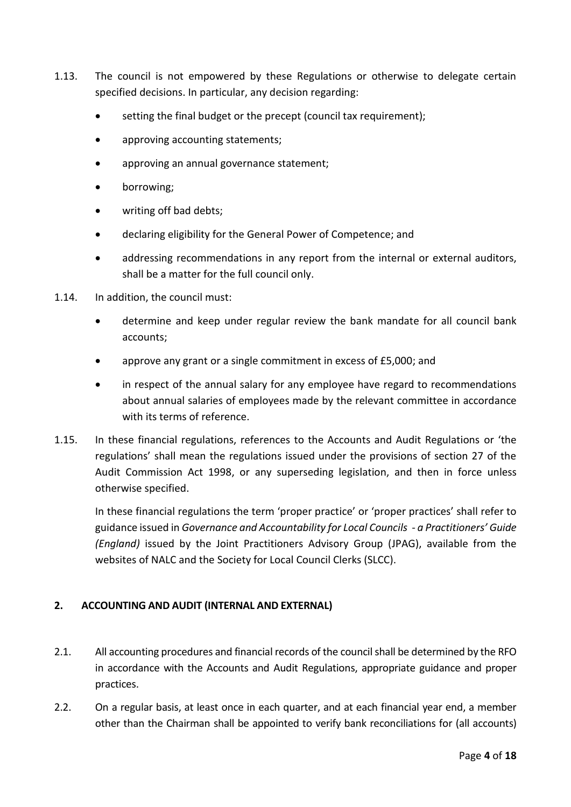- 1.13. The council is not empowered by these Regulations or otherwise to delegate certain specified decisions. In particular, any decision regarding:
	- setting the final budget or the precept (council tax requirement);
	- approving accounting statements;
	- approving an annual governance statement;
	- borrowing;
	- writing off bad debts;
	- declaring eligibility for the General Power of Competence; and
	- addressing recommendations in any report from the internal or external auditors, shall be a matter for the full council only.
- 1.14. In addition, the council must:
	- determine and keep under regular review the bank mandate for all council bank accounts;
	- approve any grant or a single commitment in excess of £5,000; and
	- in respect of the annual salary for any employee have regard to recommendations about annual salaries of employees made by the relevant committee in accordance with its terms of reference.
- 1.15. In these financial regulations, references to the Accounts and Audit Regulations or 'the regulations' shall mean the regulations issued under the provisions of section 27 of the Audit Commission Act 1998, or any superseding legislation, and then in force unless otherwise specified.

In these financial regulations the term 'proper practice' or 'proper practices' shall refer to guidance issued in *Governance and Accountability for Local Councils - a Practitioners' Guide (England)* issued by the Joint Practitioners Advisory Group (JPAG), available from the websites of NALC and the Society for Local Council Clerks (SLCC).

# <span id="page-3-0"></span>**2. ACCOUNTING AND AUDIT (INTERNAL AND EXTERNAL)**

- 2.1. All accounting procedures and financial records of the council shall be determined by the RFO in accordance with the Accounts and Audit Regulations, appropriate guidance and proper practices.
- 2.2. On a regular basis, at least once in each quarter, and at each financial year end, a member other than the Chairman shall be appointed to verify bank reconciliations for (all accounts)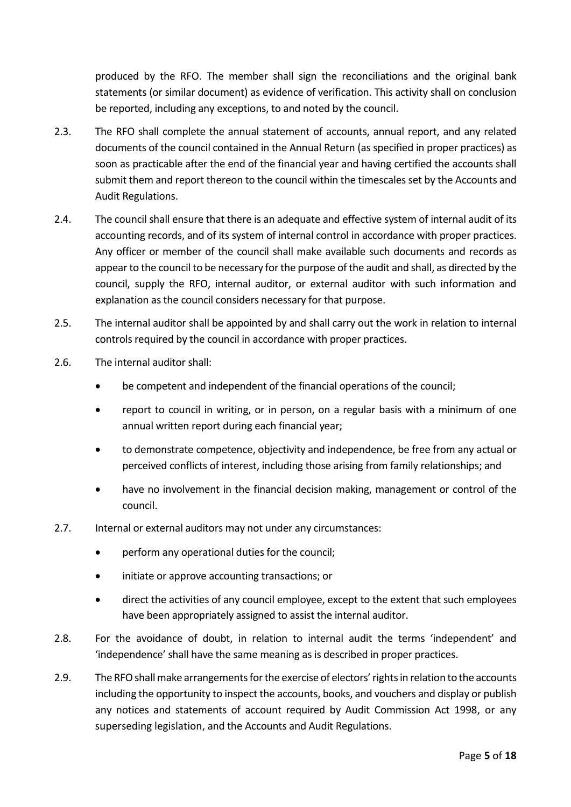produced by the RFO. The member shall sign the reconciliations and the original bank statements (or similar document) as evidence of verification. This activity shall on conclusion be reported, including any exceptions, to and noted by the council.

- 2.3. The RFO shall complete the annual statement of accounts, annual report, and any related documents of the council contained in the Annual Return (as specified in proper practices) as soon as practicable after the end of the financial year and having certified the accounts shall submit them and report thereon to the council within the timescales set by the Accounts and Audit Regulations.
- 2.4. The council shall ensure that there is an adequate and effective system of internal audit of its accounting records, and of its system of internal control in accordance with proper practices. Any officer or member of the council shall make available such documents and records as appear to the council to be necessary for the purpose of the audit and shall, as directed by the council, supply the RFO, internal auditor, or external auditor with such information and explanation as the council considers necessary for that purpose.
- 2.5. The internal auditor shall be appointed by and shall carry out the work in relation to internal controls required by the council in accordance with proper practices.
- 2.6. The internal auditor shall:
	- be competent and independent of the financial operations of the council;
	- report to council in writing, or in person, on a regular basis with a minimum of one annual written report during each financial year;
	- to demonstrate competence, objectivity and independence, be free from any actual or perceived conflicts of interest, including those arising from family relationships; and
	- have no involvement in the financial decision making, management or control of the council.
- 2.7. Internal or external auditors may not under any circumstances:
	- perform any operational duties for the council;
	- initiate or approve accounting transactions; or
	- direct the activities of any council employee, except to the extent that such employees have been appropriately assigned to assist the internal auditor.
- 2.8. For the avoidance of doubt, in relation to internal audit the terms 'independent' and 'independence' shall have the same meaning as is described in proper practices.
- 2.9. The RFO shall make arrangements for the exercise of electors' rights in relation to the accounts including the opportunity to inspect the accounts, books, and vouchers and display or publish any notices and statements of account required by Audit Commission Act 1998, or any superseding legislation, and the Accounts and Audit Regulations.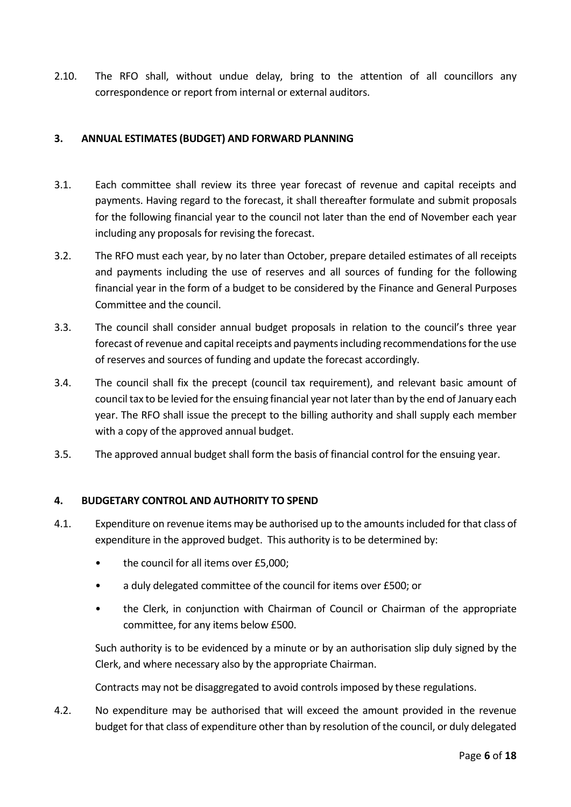2.10. The RFO shall, without undue delay, bring to the attention of all councillors any correspondence or report from internal or external auditors.

## <span id="page-5-0"></span>**3. ANNUAL ESTIMATES (BUDGET) AND FORWARD PLANNING**

- 3.1. Each committee shall review its three year forecast of revenue and capital receipts and payments. Having regard to the forecast, it shall thereafter formulate and submit proposals for the following financial year to the council not later than the end of November each year including any proposals for revising the forecast.
- 3.2. The RFO must each year, by no later than October, prepare detailed estimates of all receipts and payments including the use of reserves and all sources of funding for the following financial year in the form of a budget to be considered by the Finance and General Purposes Committee and the council.
- 3.3. The council shall consider annual budget proposals in relation to the council's three year forecast of revenue and capital receipts and payments including recommendations for the use of reserves and sources of funding and update the forecast accordingly.
- 3.4. The council shall fix the precept (council tax requirement), and relevant basic amount of council tax to be levied for the ensuing financial year not later than by the end of January each year. The RFO shall issue the precept to the billing authority and shall supply each member with a copy of the approved annual budget.
- 3.5. The approved annual budget shall form the basis of financial control for the ensuing year.

#### <span id="page-5-1"></span>**4. BUDGETARY CONTROL AND AUTHORITY TO SPEND**

- 4.1. Expenditure on revenue items may be authorised up to the amounts included for that class of expenditure in the approved budget. This authority is to be determined by:
	- the council for all items over £5,000;
	- a duly delegated committee of the council for items over £500; or
	- the Clerk, in conjunction with Chairman of Council or Chairman of the appropriate committee, for any items below £500.

Such authority is to be evidenced by a minute or by an authorisation slip duly signed by the Clerk, and where necessary also by the appropriate Chairman.

Contracts may not be disaggregated to avoid controls imposed by these regulations.

4.2. No expenditure may be authorised that will exceed the amount provided in the revenue budget for that class of expenditure other than by resolution of the council, or duly delegated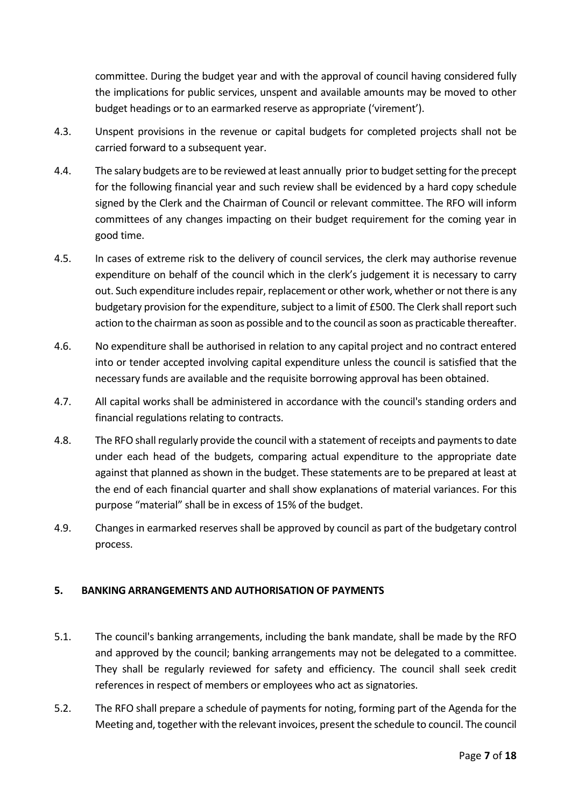committee. During the budget year and with the approval of council having considered fully the implications for public services, unspent and available amounts may be moved to other budget headings or to an earmarked reserve as appropriate ('virement').

- 4.3. Unspent provisions in the revenue or capital budgets for completed projects shall not be carried forward to a subsequent year.
- 4.4. The salary budgets are to be reviewed at least annually prior to budget setting for the precept for the following financial year and such review shall be evidenced by a hard copy schedule signed by the Clerk and the Chairman of Council or relevant committee. The RFO will inform committees of any changes impacting on their budget requirement for the coming year in good time.
- 4.5. In cases of extreme risk to the delivery of council services, the clerk may authorise revenue expenditure on behalf of the council which in the clerk's judgement it is necessary to carry out. Such expenditure includes repair, replacement or other work, whether or not there is any budgetary provision for the expenditure, subject to a limit of £500. The Clerk shall report such action to the chairman as soon as possible and to the council as soon as practicable thereafter.
- 4.6. No expenditure shall be authorised in relation to any capital project and no contract entered into or tender accepted involving capital expenditure unless the council is satisfied that the necessary funds are available and the requisite borrowing approval has been obtained.
- 4.7. All capital works shall be administered in accordance with the council's standing orders and financial regulations relating to contracts.
- 4.8. The RFO shall regularly provide the council with a statement of receipts and payments to date under each head of the budgets, comparing actual expenditure to the appropriate date against that planned as shown in the budget. These statements are to be prepared at least at the end of each financial quarter and shall show explanations of material variances. For this purpose "material" shall be in excess of 15% of the budget.
- 4.9. Changes in earmarked reserves shall be approved by council as part of the budgetary control process.

# <span id="page-6-0"></span>**5. BANKING ARRANGEMENTS AND AUTHORISATION OF PAYMENTS**

- 5.1. The council's banking arrangements, including the bank mandate, shall be made by the RFO and approved by the council; banking arrangements may not be delegated to a committee. They shall be regularly reviewed for safety and efficiency. The council shall seek credit references in respect of members or employees who act as signatories.
- 5.2. The RFO shall prepare a schedule of payments for noting, forming part of the Agenda for the Meeting and, together with the relevant invoices, present the schedule to council. The council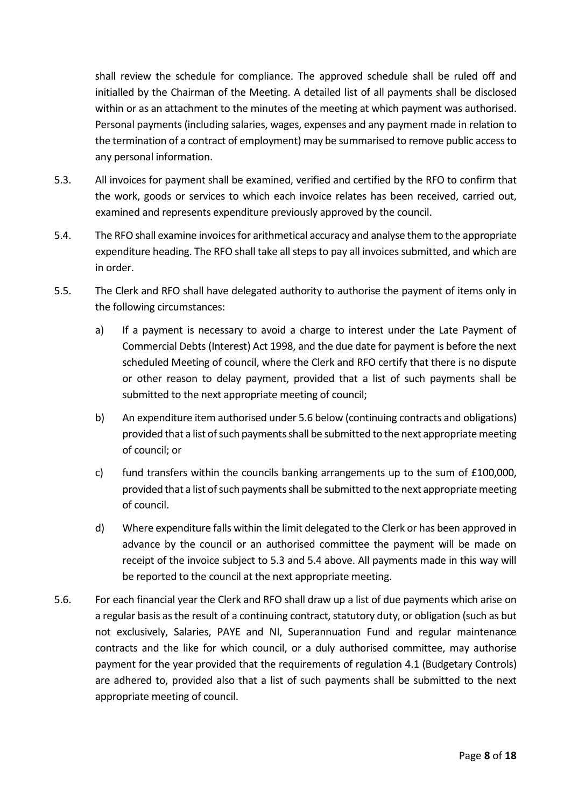shall review the schedule for compliance. The approved schedule shall be ruled off and initialled by the Chairman of the Meeting. A detailed list of all payments shall be disclosed within or as an attachment to the minutes of the meeting at which payment was authorised. Personal payments (including salaries, wages, expenses and any payment made in relation to the termination of a contract of employment) may be summarised to remove public access to any personal information.

- 5.3. All invoices for payment shall be examined, verified and certified by the RFO to confirm that the work, goods or services to which each invoice relates has been received, carried out, examined and represents expenditure previously approved by the council.
- 5.4. The RFO shall examine invoices for arithmetical accuracy and analyse them to the appropriate expenditure heading. The RFO shall take all steps to pay all invoices submitted, and which are in order.
- 5.5. The Clerk and RFO shall have delegated authority to authorise the payment of items only in the following circumstances:
	- a) If a payment is necessary to avoid a charge to interest under the Late Payment of Commercial Debts (Interest) Act 1998, and the due date for payment is before the next scheduled Meeting of council, where the Clerk and RFO certify that there is no dispute or other reason to delay payment, provided that a list of such payments shall be submitted to the next appropriate meeting of council;
	- b) An expenditure item authorised under 5.6 below (continuing contracts and obligations) provided that a list of such payments shall be submitted to the next appropriate meeting of council; or
	- c) fund transfers within the councils banking arrangements up to the sum of £100,000, provided that a list of such payments shall be submitted to the next appropriate meeting of council.
	- d) Where expenditure falls within the limit delegated to the Clerk or has been approved in advance by the council or an authorised committee the payment will be made on receipt of the invoice subject to 5.3 and 5.4 above. All payments made in this way will be reported to the council at the next appropriate meeting.
- 5.6. For each financial year the Clerk and RFO shall draw up a list of due payments which arise on a regular basis as the result of a continuing contract, statutory duty, or obligation (such as but not exclusively, Salaries, PAYE and NI, Superannuation Fund and regular maintenance contracts and the like for which council, or a duly authorised committee, may authorise payment for the year provided that the requirements of regulation 4.1 (Budgetary Controls) are adhered to, provided also that a list of such payments shall be submitted to the next appropriate meeting of council.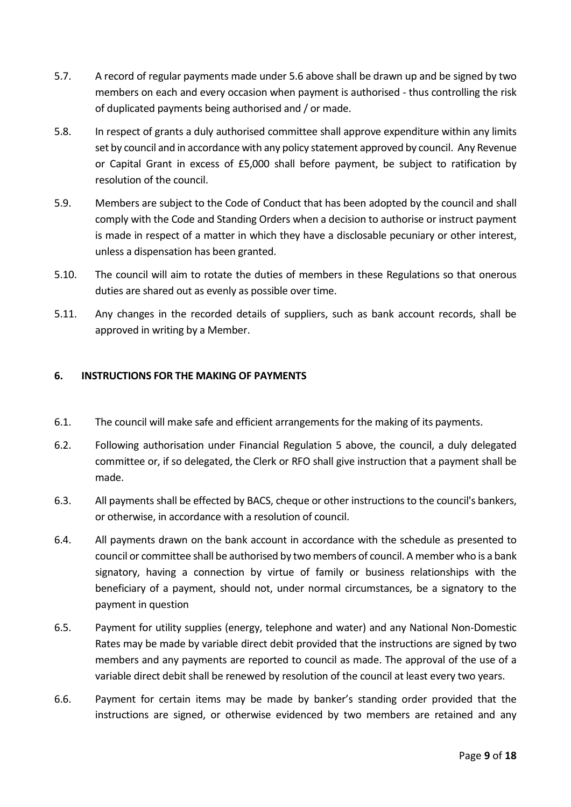- 5.7. A record of regular payments made under 5.6 above shall be drawn up and be signed by two members on each and every occasion when payment is authorised - thus controlling the risk of duplicated payments being authorised and / or made.
- 5.8. In respect of grants a duly authorised committee shall approve expenditure within any limits set by council and in accordance with any policy statement approved by council. Any Revenue or Capital Grant in excess of £5,000 shall before payment, be subject to ratification by resolution of the council.
- 5.9. Members are subject to the Code of Conduct that has been adopted by the council and shall comply with the Code and Standing Orders when a decision to authorise or instruct payment is made in respect of a matter in which they have a disclosable pecuniary or other interest, unless a dispensation has been granted.
- 5.10. The council will aim to rotate the duties of members in these Regulations so that onerous duties are shared out as evenly as possible over time.
- 5.11. Any changes in the recorded details of suppliers, such as bank account records, shall be approved in writing by a Member.

## <span id="page-8-0"></span>**6. INSTRUCTIONS FOR THE MAKING OF PAYMENTS**

- 6.1. The council will make safe and efficient arrangements for the making of its payments.
- 6.2. Following authorisation under Financial Regulation 5 above, the council, a duly delegated committee or, if so delegated, the Clerk or RFO shall give instruction that a payment shall be made.
- 6.3. All payments shall be effected by BACS, cheque or other instructions to the council's bankers, or otherwise, in accordance with a resolution of council.
- 6.4. All payments drawn on the bank account in accordance with the schedule as presented to council or committee shall be authorised by two members of council. A member who is a bank signatory, having a connection by virtue of family or business relationships with the beneficiary of a payment, should not, under normal circumstances, be a signatory to the payment in question
- 6.5. Payment for utility supplies (energy, telephone and water) and any National Non-Domestic Rates may be made by variable direct debit provided that the instructions are signed by two members and any payments are reported to council as made. The approval of the use of a variable direct debit shall be renewed by resolution of the council at least every two years.
- 6.6. Payment for certain items may be made by banker's standing order provided that the instructions are signed, or otherwise evidenced by two members are retained and any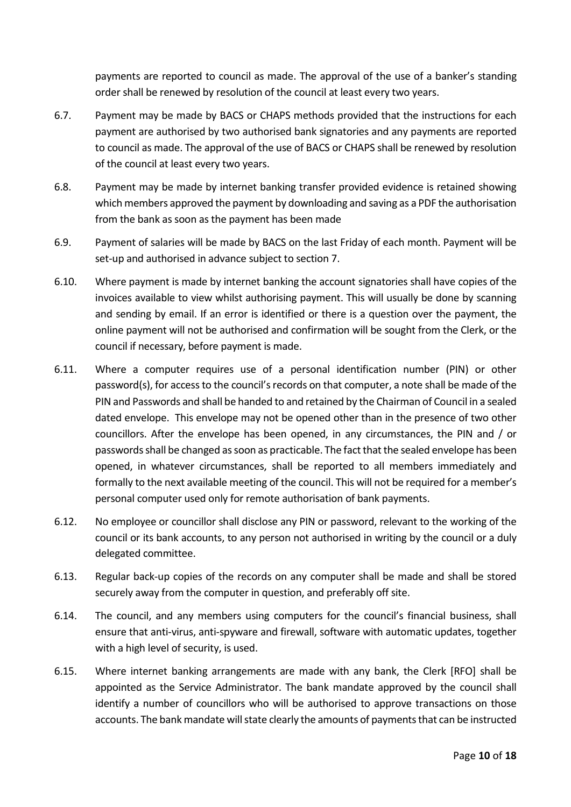payments are reported to council as made. The approval of the use of a banker's standing order shall be renewed by resolution of the council at least every two years.

- 6.7. Payment may be made by BACS or CHAPS methods provided that the instructions for each payment are authorised by two authorised bank signatories and any payments are reported to council as made. The approval of the use of BACS or CHAPS shall be renewed by resolution of the council at least every two years.
- 6.8. Payment may be made by internet banking transfer provided evidence is retained showing which members approved the payment by downloading and saving as a PDF the authorisation from the bank as soon as the payment has been made
- 6.9. Payment of salaries will be made by BACS on the last Friday of each month. Payment will be set-up and authorised in advance subject to section 7.
- 6.10. Where payment is made by internet banking the account signatories shall have copies of the invoices available to view whilst authorising payment. This will usually be done by scanning and sending by email. If an error is identified or there is a question over the payment, the online payment will not be authorised and confirmation will be sought from the Clerk, or the council if necessary, before payment is made.
- 6.11. Where a computer requires use of a personal identification number (PIN) or other password(s), for access to the council's records on that computer, a note shall be made of the PIN and Passwords and shall be handed to and retained by the Chairman of Council in a sealed dated envelope. This envelope may not be opened other than in the presence of two other councillors. After the envelope has been opened, in any circumstances, the PIN and / or passwords shall be changed as soon as practicable. The fact that the sealed envelope has been opened, in whatever circumstances, shall be reported to all members immediately and formally to the next available meeting of the council. This will not be required for a member's personal computer used only for remote authorisation of bank payments.
- 6.12. No employee or councillor shall disclose any PIN or password, relevant to the working of the council or its bank accounts, to any person not authorised in writing by the council or a duly delegated committee.
- 6.13. Regular back-up copies of the records on any computer shall be made and shall be stored securely away from the computer in question, and preferably off site.
- 6.14. The council, and any members using computers for the council's financial business, shall ensure that anti-virus, anti-spyware and firewall, software with automatic updates, together with a high level of security, is used.
- 6.15. Where internet banking arrangements are made with any bank, the Clerk [RFO] shall be appointed as the Service Administrator. The bank mandate approved by the council shall identify a number of councillors who will be authorised to approve transactions on those accounts. The bank mandate will state clearly the amounts of payments that can be instructed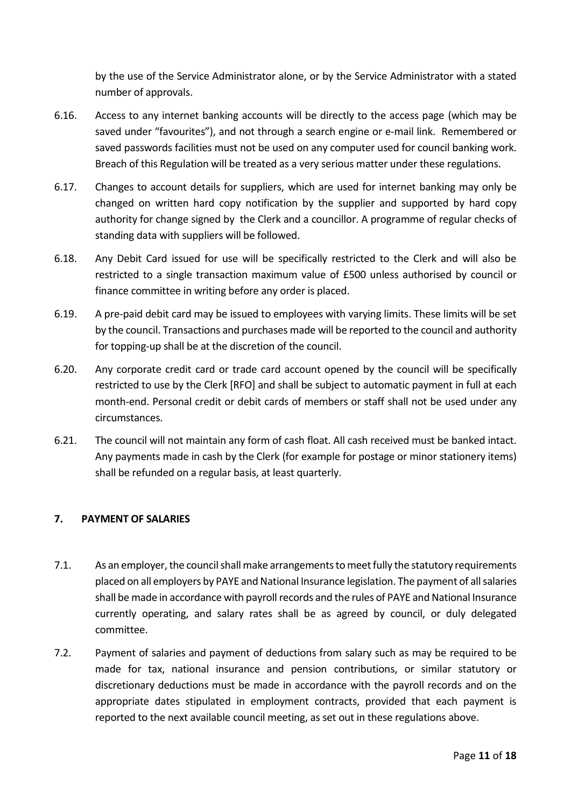by the use of the Service Administrator alone, or by the Service Administrator with a stated number of approvals.

- 6.16. Access to any internet banking accounts will be directly to the access page (which may be saved under "favourites"), and not through a search engine or e-mail link. Remembered or saved passwords facilities must not be used on any computer used for council banking work. Breach of this Regulation will be treated as a very serious matter under these regulations.
- 6.17. Changes to account details for suppliers, which are used for internet banking may only be changed on written hard copy notification by the supplier and supported by hard copy authority for change signed by the Clerk and a councillor. A programme of regular checks of standing data with suppliers will be followed.
- 6.18. Any Debit Card issued for use will be specifically restricted to the Clerk and will also be restricted to a single transaction maximum value of £500 unless authorised by council or finance committee in writing before any order is placed.
- 6.19. A pre-paid debit card may be issued to employees with varying limits. These limits will be set by the council. Transactions and purchases made will be reported to the council and authority for topping-up shall be at the discretion of the council.
- 6.20. Any corporate credit card or trade card account opened by the council will be specifically restricted to use by the Clerk [RFO] and shall be subject to automatic payment in full at each month-end. Personal credit or debit cards of members or staff shall not be used under any circumstances.
- 6.21. The council will not maintain any form of cash float. All cash received must be banked intact. Any payments made in cash by the Clerk (for example for postage or minor stationery items) shall be refunded on a regular basis, at least quarterly.

# <span id="page-10-0"></span>**7. PAYMENT OF SALARIES**

- 7.1. As an employer, the council shall make arrangements to meet fully the statutory requirements placed on all employers by PAYE and National Insurance legislation. The payment of all salaries shall be made in accordance with payroll records and the rules of PAYE and National Insurance currently operating, and salary rates shall be as agreed by council, or duly delegated committee.
- 7.2. Payment of salaries and payment of deductions from salary such as may be required to be made for tax, national insurance and pension contributions, or similar statutory or discretionary deductions must be made in accordance with the payroll records and on the appropriate dates stipulated in employment contracts, provided that each payment is reported to the next available council meeting, as set out in these regulations above.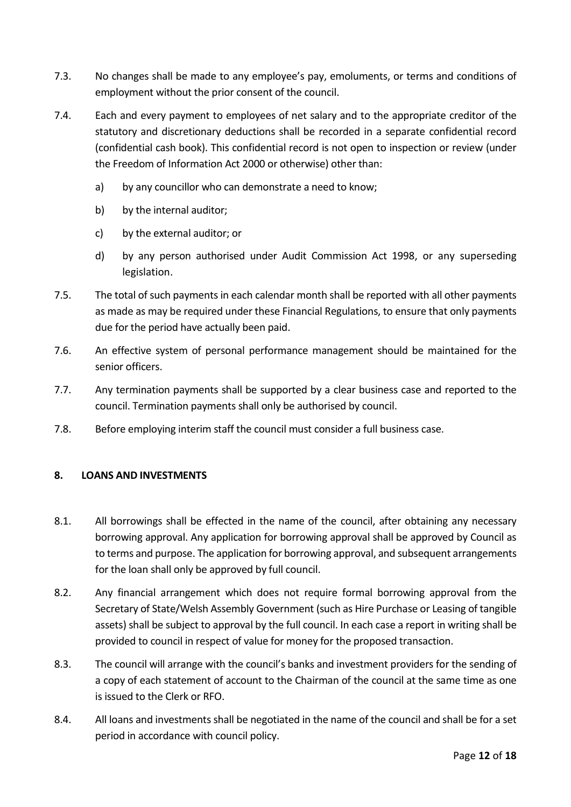- 7.3. No changes shall be made to any employee's pay, emoluments, or terms and conditions of employment without the prior consent of the council.
- 7.4. Each and every payment to employees of net salary and to the appropriate creditor of the statutory and discretionary deductions shall be recorded in a separate confidential record (confidential cash book). This confidential record is not open to inspection or review (under the Freedom of Information Act 2000 or otherwise) other than:
	- a) by any councillor who can demonstrate a need to know;
	- b) by the internal auditor;
	- c) by the external auditor; or
	- d) by any person authorised under Audit Commission Act 1998, or any superseding legislation.
- 7.5. The total of such payments in each calendar month shall be reported with all other payments as made as may be required under these Financial Regulations, to ensure that only payments due for the period have actually been paid.
- 7.6. An effective system of personal performance management should be maintained for the senior officers.
- 7.7. Any termination payments shall be supported by a clear business case and reported to the council. Termination payments shall only be authorised by council.
- 7.8. Before employing interim staff the council must consider a full business case.

#### <span id="page-11-0"></span>**8. LOANS AND INVESTMENTS**

- 8.1. All borrowings shall be effected in the name of the council, after obtaining any necessary borrowing approval. Any application for borrowing approval shall be approved by Council as to terms and purpose. The application for borrowing approval, and subsequent arrangements for the loan shall only be approved by full council.
- 8.2. Any financial arrangement which does not require formal borrowing approval from the Secretary of State/Welsh Assembly Government (such as Hire Purchase or Leasing of tangible assets) shall be subject to approval by the full council. In each case a report in writing shall be provided to council in respect of value for money for the proposed transaction.
- 8.3. The council will arrange with the council's banks and investment providers for the sending of a copy of each statement of account to the Chairman of the council at the same time as one is issued to the Clerk or RFO.
- 8.4. All loans and investments shall be negotiated in the name of the council and shall be for a set period in accordance with council policy.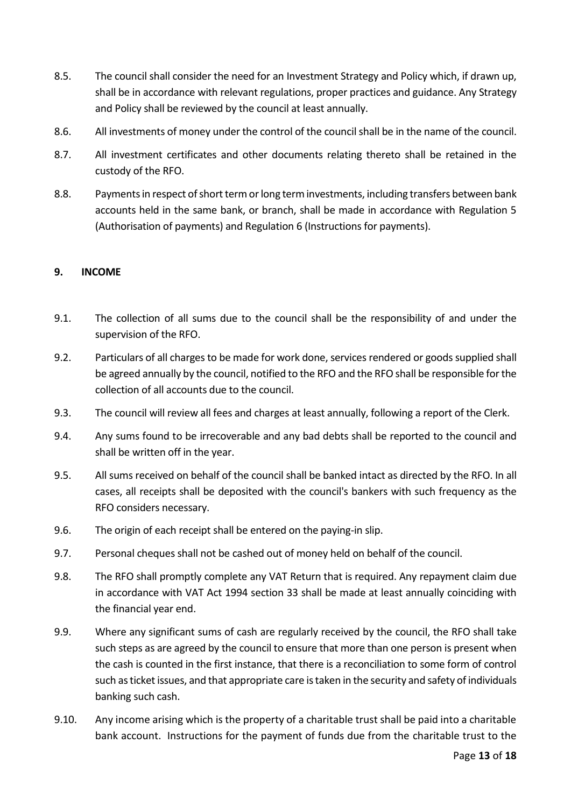- 8.5. The council shall consider the need for an Investment Strategy and Policy which, if drawn up, shall be in accordance with relevant regulations, proper practices and guidance. Any Strategy and Policy shall be reviewed by the council at least annually.
- 8.6. All investments of money under the control of the council shall be in the name of the council.
- 8.7. All investment certificates and other documents relating thereto shall be retained in the custody of the RFO.
- 8.8. Payments in respect of short term or long term investments, including transfers between bank accounts held in the same bank, or branch, shall be made in accordance with Regulation 5 (Authorisation of payments) and Regulation 6 (Instructions for payments).

## <span id="page-12-0"></span>**9. INCOME**

- 9.1. The collection of all sums due to the council shall be the responsibility of and under the supervision of the RFO.
- 9.2. Particulars of all charges to be made for work done, services rendered or goods supplied shall be agreed annually by the council, notified to the RFO and the RFO shall be responsible for the collection of all accounts due to the council.
- 9.3. The council will review all fees and charges at least annually, following a report of the Clerk.
- 9.4. Any sums found to be irrecoverable and any bad debts shall be reported to the council and shall be written off in the year.
- 9.5. All sums received on behalf of the council shall be banked intact as directed by the RFO. In all cases, all receipts shall be deposited with the council's bankers with such frequency as the RFO considers necessary.
- 9.6. The origin of each receipt shall be entered on the paying-in slip.
- 9.7. Personal cheques shall not be cashed out of money held on behalf of the council.
- 9.8. The RFO shall promptly complete any VAT Return that is required. Any repayment claim due in accordance with VAT Act 1994 section 33 shall be made at least annually coinciding with the financial year end.
- 9.9. Where any significant sums of cash are regularly received by the council, the RFO shall take such steps as are agreed by the council to ensure that more than one person is present when the cash is counted in the first instance, that there is a reconciliation to some form of control such as ticket issues, and that appropriate care is taken in the security and safety of individuals banking such cash.
- 9.10. Any income arising which is the property of a charitable trust shall be paid into a charitable bank account. Instructions for the payment of funds due from the charitable trust to the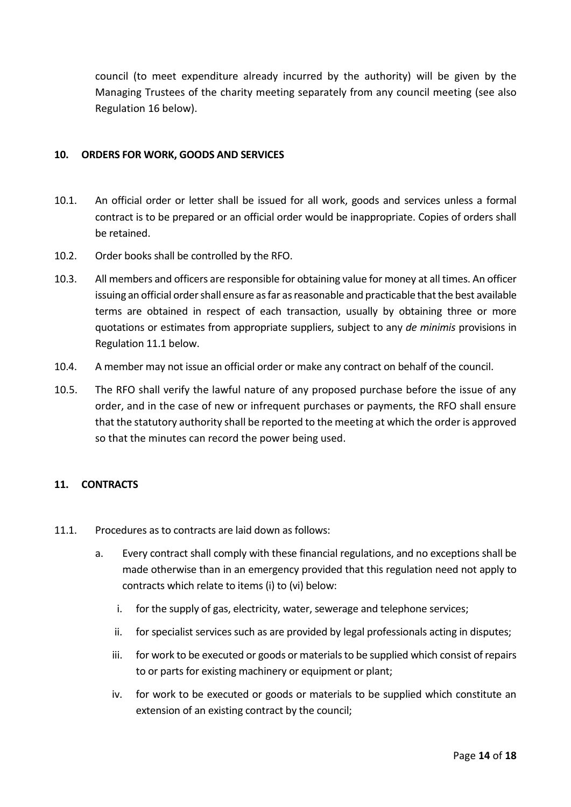council (to meet expenditure already incurred by the authority) will be given by the Managing Trustees of the charity meeting separately from any council meeting (see also Regulation 16 below).

#### <span id="page-13-0"></span>**10. ORDERS FOR WORK, GOODS AND SERVICES**

- 10.1. An official order or letter shall be issued for all work, goods and services unless a formal contract is to be prepared or an official order would be inappropriate. Copies of orders shall be retained.
- 10.2. Order books shall be controlled by the RFO.
- 10.3. All members and officers are responsible for obtaining value for money at all times. An officer issuing an official order shall ensure as far as reasonable and practicable that the best available terms are obtained in respect of each transaction, usually by obtaining three or more quotations or estimates from appropriate suppliers, subject to any *de minimis* provisions in Regulation 11.1 below.
- 10.4. A member may not issue an official order or make any contract on behalf of the council.
- 10.5. The RFO shall verify the lawful nature of any proposed purchase before the issue of any order, and in the case of new or infrequent purchases or payments, the RFO shall ensure that the statutory authority shall be reported to the meeting at which the order is approved so that the minutes can record the power being used.

# <span id="page-13-1"></span>**11. CONTRACTS**

- 11.1. Procedures as to contracts are laid down as follows:
	- a. Every contract shall comply with these financial regulations, and no exceptions shall be made otherwise than in an emergency provided that this regulation need not apply to contracts which relate to items (i) to (vi) below:
		- i. for the supply of gas, electricity, water, sewerage and telephone services;
		- ii. for specialist services such as are provided by legal professionals acting in disputes;
		- iii. for work to be executed or goods or materials to be supplied which consist of repairs to or parts for existing machinery or equipment or plant;
		- iv. for work to be executed or goods or materials to be supplied which constitute an extension of an existing contract by the council;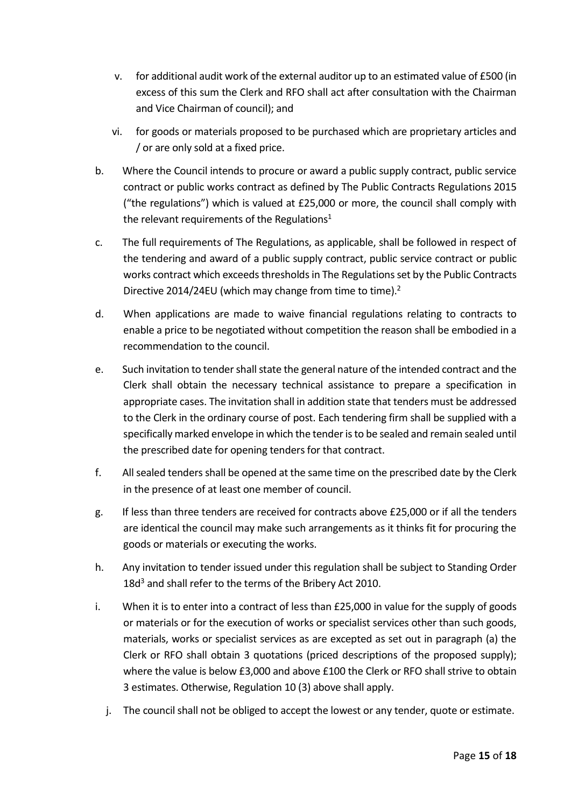- v. for additional audit work of the external auditor up to an estimated value of £500 (in excess of this sum the Clerk and RFO shall act after consultation with the Chairman and Vice Chairman of council); and
- vi. for goods or materials proposed to be purchased which are proprietary articles and / or are only sold at a fixed price.
- b. Where the Council intends to procure or award a public supply contract, public service contract or public works contract as defined by The Public Contracts Regulations 2015 ("the regulations") which is valued at £25,000 or more, the council shall comply with the relevant requirements of the Regulations<sup>1</sup>
- c. The full requirements of The Regulations, as applicable, shall be followed in respect of the tendering and award of a public supply contract, public service contract or public works contract which exceeds thresholds in The Regulations set by the Public Contracts Directive 2014/24EU (which may change from time to time).<sup>2</sup>
- d. When applications are made to waive financial regulations relating to contracts to enable a price to be negotiated without competition the reason shall be embodied in a recommendation to the council.
- e. Such invitation to tender shall state the general nature of the intended contract and the Clerk shall obtain the necessary technical assistance to prepare a specification in appropriate cases. The invitation shall in addition state that tenders must be addressed to the Clerk in the ordinary course of post. Each tendering firm shall be supplied with a specifically marked envelope in which the tender is to be sealed and remain sealed until the prescribed date for opening tenders for that contract.
- f. All sealed tenders shall be opened at the same time on the prescribed date by the Clerk in the presence of at least one member of council.
- g. If less than three tenders are received for contracts above £25,000 or if all the tenders are identical the council may make such arrangements as it thinks fit for procuring the goods or materials or executing the works.
- h. Any invitation to tender issued under this regulation shall be subject to Standing Order 18d<sup>3</sup> and shall refer to the terms of the Bribery Act 2010.
- i. When it is to enter into a contract of less than £25,000 in value for the supply of goods or materials or for the execution of works or specialist services other than such goods, materials, works or specialist services as are excepted as set out in paragraph (a) the Clerk or RFO shall obtain 3 quotations (priced descriptions of the proposed supply); where the value is below £3,000 and above £100 the Clerk or RFO shall strive to obtain 3 estimates. Otherwise, Regulation 10 (3) above shall apply.
	- j. The council shall not be obliged to accept the lowest or any tender, quote or estimate.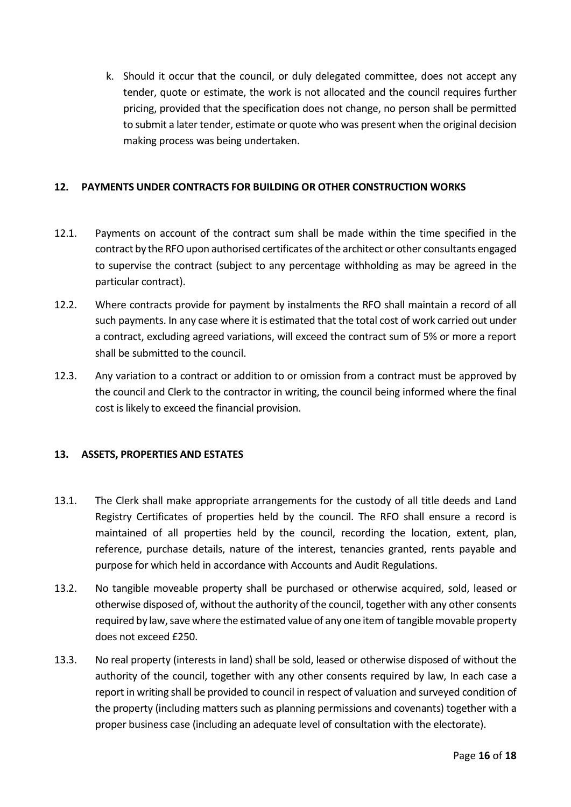k. Should it occur that the council, or duly delegated committee, does not accept any tender, quote or estimate, the work is not allocated and the council requires further pricing, provided that the specification does not change, no person shall be permitted to submit a later tender, estimate or quote who was present when the original decision making process was being undertaken.

## <span id="page-15-0"></span>**12. PAYMENTS UNDER CONTRACTS FOR BUILDING OR OTHER CONSTRUCTION WORKS**

- 12.1. Payments on account of the contract sum shall be made within the time specified in the contract by the RFO upon authorised certificates of the architect or other consultants engaged to supervise the contract (subject to any percentage withholding as may be agreed in the particular contract).
- 12.2. Where contracts provide for payment by instalments the RFO shall maintain a record of all such payments. In any case where it is estimated that the total cost of work carried out under a contract, excluding agreed variations, will exceed the contract sum of 5% or more a report shall be submitted to the council.
- 12.3. Any variation to a contract or addition to or omission from a contract must be approved by the council and Clerk to the contractor in writing, the council being informed where the final cost is likely to exceed the financial provision.

#### <span id="page-15-1"></span>**13. ASSETS, PROPERTIES AND ESTATES**

- 13.1. The Clerk shall make appropriate arrangements for the custody of all title deeds and Land Registry Certificates of properties held by the council. The RFO shall ensure a record is maintained of all properties held by the council, recording the location, extent, plan, reference, purchase details, nature of the interest, tenancies granted, rents payable and purpose for which held in accordance with Accounts and Audit Regulations.
- 13.2. No tangible moveable property shall be purchased or otherwise acquired, sold, leased or otherwise disposed of, without the authority of the council, together with any other consents required by law, save where the estimated value of any one item of tangible movable property does not exceed £250.
- 13.3. No real property (interests in land) shall be sold, leased or otherwise disposed of without the authority of the council, together with any other consents required by law, In each case a report in writing shall be provided to council in respect of valuation and surveyed condition of the property (including matters such as planning permissions and covenants) together with a proper business case (including an adequate level of consultation with the electorate).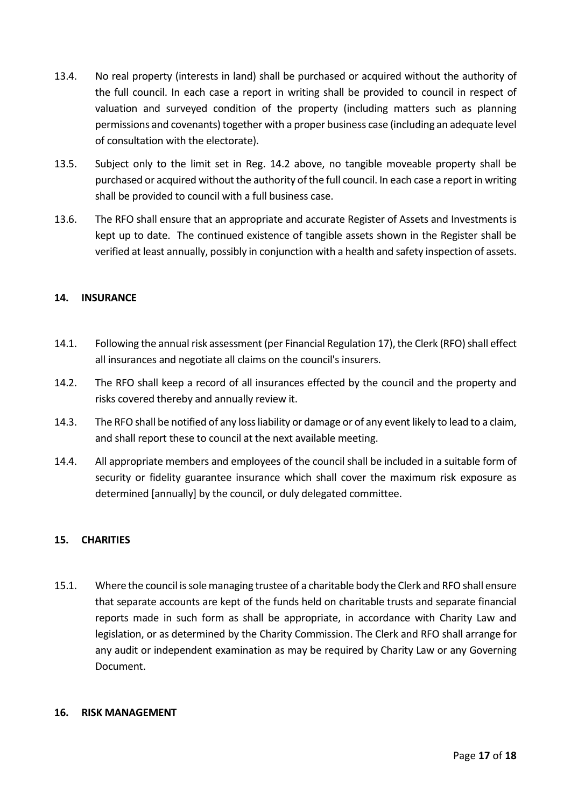- 13.4. No real property (interests in land) shall be purchased or acquired without the authority of the full council. In each case a report in writing shall be provided to council in respect of valuation and surveyed condition of the property (including matters such as planning permissions and covenants) together with a proper business case (including an adequate level of consultation with the electorate).
- 13.5. Subject only to the limit set in Reg. 14.2 above, no tangible moveable property shall be purchased or acquired without the authority of the full council. In each case a report in writing shall be provided to council with a full business case.
- 13.6. The RFO shall ensure that an appropriate and accurate Register of Assets and Investments is kept up to date. The continued existence of tangible assets shown in the Register shall be verified at least annually, possibly in conjunction with a health and safety inspection of assets.

#### <span id="page-16-0"></span>**14. INSURANCE**

- 14.1. Following the annual risk assessment (per Financial Regulation 17), the Clerk (RFO) shall effect all insurances and negotiate all claims on the council's insurers.
- 14.2. The RFO shall keep a record of all insurances effected by the council and the property and risks covered thereby and annually review it.
- 14.3. The RFO shall be notified of any loss liability or damage or of any event likely to lead to a claim, and shall report these to council at the next available meeting.
- 14.4. All appropriate members and employees of the council shall be included in a suitable form of security or fidelity guarantee insurance which shall cover the maximum risk exposure as determined [annually] by the council, or duly delegated committee.

# <span id="page-16-1"></span>**15. CHARITIES**

15.1. Where the council is sole managing trustee of a charitable body the Clerk and RFO shall ensure that separate accounts are kept of the funds held on charitable trusts and separate financial reports made in such form as shall be appropriate, in accordance with Charity Law and legislation, or as determined by the Charity Commission. The Clerk and RFO shall arrange for any audit or independent examination as may be required by Charity Law or any Governing Document.

#### <span id="page-16-2"></span>**16. RISK MANAGEMENT**